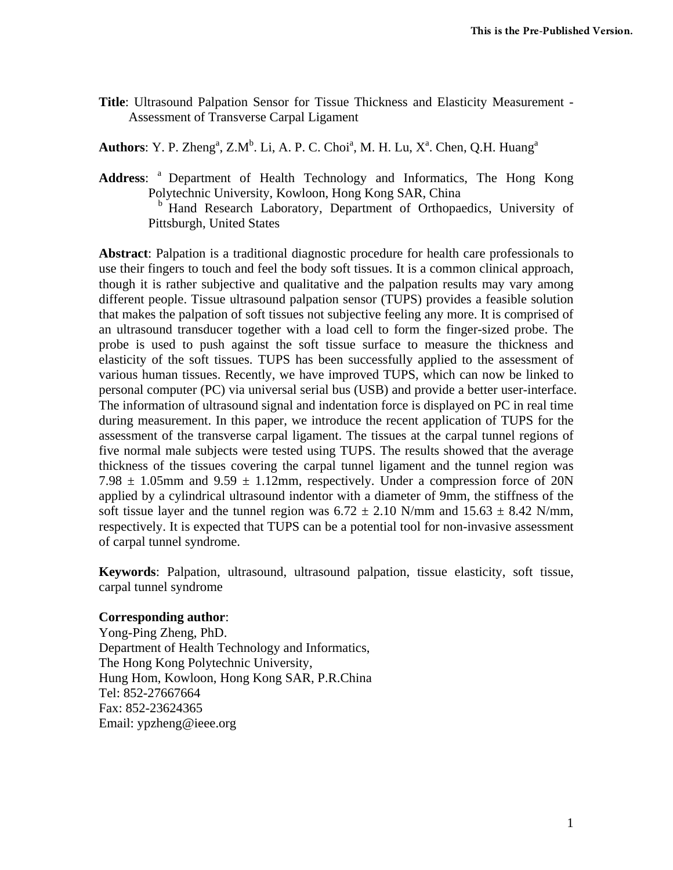**Title**: Ultrasound Palpation Sensor for Tissue Thickness and Elasticity Measurement - Assessment of Transverse Carpal Ligament

**Authors**: Y. P. Zheng<sup>a</sup>, Z.M<sup>b</sup>. Li, A. P. C. Choi<sup>a</sup>, M. H. Lu, X<sup>a</sup>. Chen, Q.H. Huang<sup>a</sup>

Address: <sup>a</sup> Department of Health Technology and Informatics, The Hong Kong Polytechnic University, Kowloon, Hong Kong SAR, China <sup>b</sup> Hand Research Laboratory, Department of Orthopaedics, University of Pittsburgh, United States

**Abstract**: Palpation is a traditional diagnostic procedure for health care professionals to use their fingers to touch and feel the body soft tissues. It is a common clinical approach, though it is rather subjective and qualitative and the palpation results may vary among different people. Tissue ultrasound palpation sensor (TUPS) provides a feasible solution that makes the palpation of soft tissues not subjective feeling any more. It is comprised of an ultrasound transducer together with a load cell to form the finger-sized probe. The probe is used to push against the soft tissue surface to measure the thickness and elasticity of the soft tissues. TUPS has been successfully applied to the assessment of various human tissues. Recently, we have improved TUPS, which can now be linked to personal computer (PC) via universal serial bus (USB) and provide a better user-interface. The information of ultrasound signal and indentation force is displayed on PC in real time during measurement. In this paper, we introduce the recent application of TUPS for the assessment of the transverse carpal ligament. The tissues at the carpal tunnel regions of five normal male subjects were tested using TUPS. The results showed that the average thickness of the tissues covering the carpal tunnel ligament and the tunnel region was 7.98  $\pm$  1.05mm and 9.59  $\pm$  1.12mm, respectively. Under a compression force of 20N applied by a cylindrical ultrasound indentor with a diameter of 9mm, the stiffness of the soft tissue layer and the tunnel region was  $6.72 \pm 2.10$  N/mm and  $15.63 \pm 8.42$  N/mm, respectively. It is expected that TUPS can be a potential tool for non-invasive assessment of carpal tunnel syndrome.

**Keywords**: Palpation, ultrasound, ultrasound palpation, tissue elasticity, soft tissue, carpal tunnel syndrome

#### **Corresponding author**:

Yong-Ping Zheng, PhD. Department of Health Technology and Informatics, The Hong Kong Polytechnic University, Hung Hom, Kowloon, Hong Kong SAR, P.R.China Tel: 852-27667664 Fax: 852-23624365 Email: ypzheng@ieee.org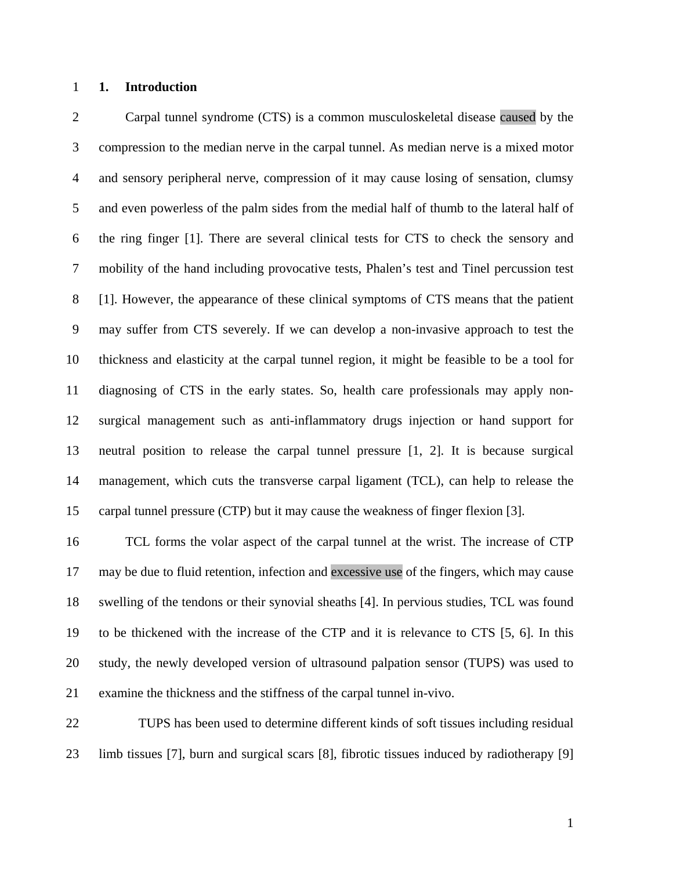### 1 **1. Introduction**

2 Carpal tunnel syndrome (CTS) is a common musculoskeletal disease caused by the 3 compression to the median nerve in the carpal tunnel. As median nerve is a mixed motor 4 and sensory peripheral nerve, compression of it may cause losing of sensation, clumsy 5 and even powerless of the palm sides from the medial half of thumb to the lateral half of 6 the ring finger [1]. There are several clinical tests for CTS to check the sensory and 7 mobility of the hand including provocative tests, Phalen's test and Tinel percussion test 8 [1]. However, the appearance of these clinical symptoms of CTS means that the patient 9 may suffer from CTS severely. If we can develop a non-invasive approach to test the 10 thickness and elasticity at the carpal tunnel region, it might be feasible to be a tool for 11 diagnosing of CTS in the early states. So, health care professionals may apply non-12 surgical management such as anti-inflammatory drugs injection or hand support for 13 neutral position to release the carpal tunnel pressure [1, 2]. It is because surgical 14 management, which cuts the transverse carpal ligament (TCL), can help to release the 15 carpal tunnel pressure (CTP) but it may cause the weakness of finger flexion [3].

16 TCL forms the volar aspect of the carpal tunnel at the wrist. The increase of CTP 17 may be due to fluid retention, infection and excessive use of the fingers, which may cause 18 swelling of the tendons or their synovial sheaths [4]. In pervious studies, TCL was found 19 to be thickened with the increase of the CTP and it is relevance to CTS [5, 6]. In this 20 study, the newly developed version of ultrasound palpation sensor (TUPS) was used to 21 examine the thickness and the stiffness of the carpal tunnel in-vivo.

22 TUPS has been used to determine different kinds of soft tissues including residual 23 limb tissues [7], burn and surgical scars [8], fibrotic tissues induced by radiotherapy [9]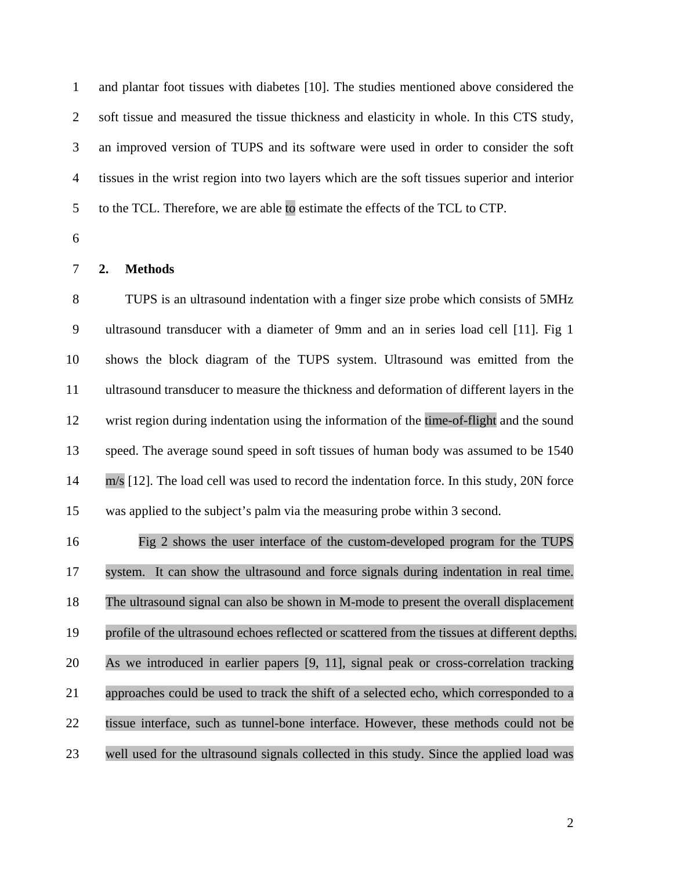1 and plantar foot tissues with diabetes [10]. The studies mentioned above considered the 2 soft tissue and measured the tissue thickness and elasticity in whole. In this CTS study, 3 an improved version of TUPS and its software were used in order to consider the soft 4 tissues in the wrist region into two layers which are the soft tissues superior and interior 5 to the TCL. Therefore, we are able to estimate the effects of the TCL to CTP.

6

## 7 **2. Methods**

8 TUPS is an ultrasound indentation with a finger size probe which consists of 5MHz 9 ultrasound transducer with a diameter of 9mm and an in series load cell [11]. Fig 1 10 shows the block diagram of the TUPS system. Ultrasound was emitted from the 11 ultrasound transducer to measure the thickness and deformation of different layers in the 12 wrist region during indentation using the information of the time-of-flight and the sound 13 speed. The average sound speed in soft tissues of human body was assumed to be 1540 14 m/s [12]. The load cell was used to record the indentation force. In this study, 20N force 15 was applied to the subject's palm via the measuring probe within 3 second.

16 Fig 2 shows the user interface of the custom-developed program for the TUPS 17 system. It can show the ultrasound and force signals during indentation in real time. 18 The ultrasound signal can also be shown in M-mode to present the overall displacement 19 profile of the ultrasound echoes reflected or scattered from the tissues at different depths. 20 As we introduced in earlier papers [9, 11], signal peak or cross-correlation tracking 21 approaches could be used to track the shift of a selected echo, which corresponded to a 22 tissue interface, such as tunnel-bone interface. However, these methods could not be 23 well used for the ultrasound signals collected in this study. Since the applied load was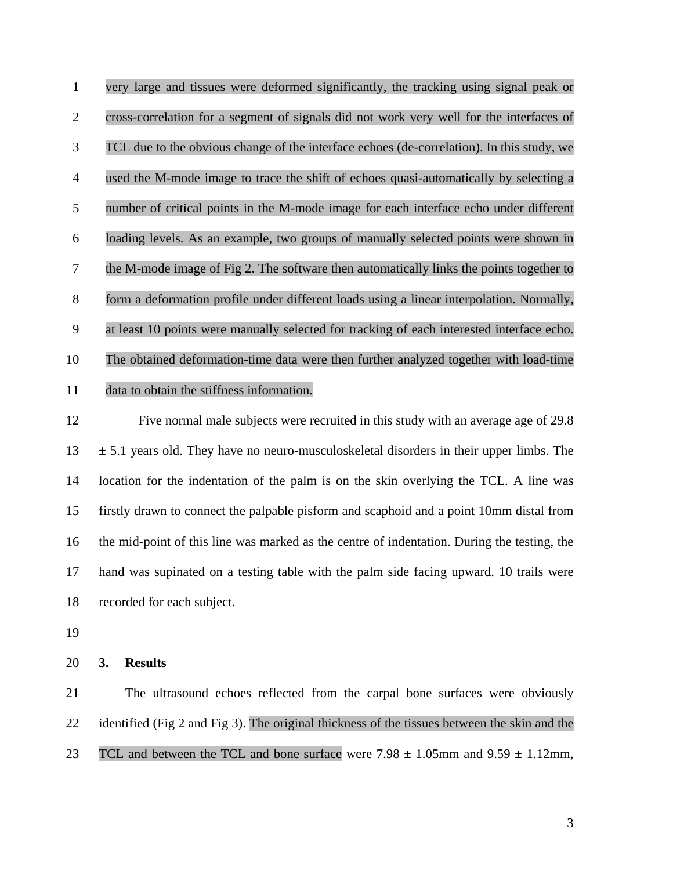1 very large and tissues were deformed significantly, the tracking using signal peak or 2 cross-correlation for a segment of signals did not work very well for the interfaces of 3 TCL due to the obvious change of the interface echoes (de-correlation). In this study, we 4 used the M-mode image to trace the shift of echoes quasi-automatically by selecting a 5 number of critical points in the M-mode image for each interface echo under different 6 loading levels. As an example, two groups of manually selected points were shown in 7 the M-mode image of Fig 2. The software then automatically links the points together to 8 form a deformation profile under different loads using a linear interpolation. Normally, 9 at least 10 points were manually selected for tracking of each interested interface echo. 10 The obtained deformation-time data were then further analyzed together with load-time 11 data to obtain the stiffness information.

12 Five normal male subjects were recruited in this study with an average age of 29.8  $13 \pm 5.1$  years old. They have no neuro-musculoskeletal disorders in their upper limbs. The 14 location for the indentation of the palm is on the skin overlying the TCL. A line was 15 firstly drawn to connect the palpable pisform and scaphoid and a point 10mm distal from 16 the mid-point of this line was marked as the centre of indentation. During the testing, the 17 hand was supinated on a testing table with the palm side facing upward. 10 trails were 18 recorded for each subject.

19

20 **3. Results** 

21 The ultrasound echoes reflected from the carpal bone surfaces were obviously 22 identified (Fig 2 and Fig 3). The original thickness of the tissues between the skin and the 23 TCL and between the TCL and bone surface were  $7.98 \pm 1.05$  mm and  $9.59 \pm 1.12$  mm,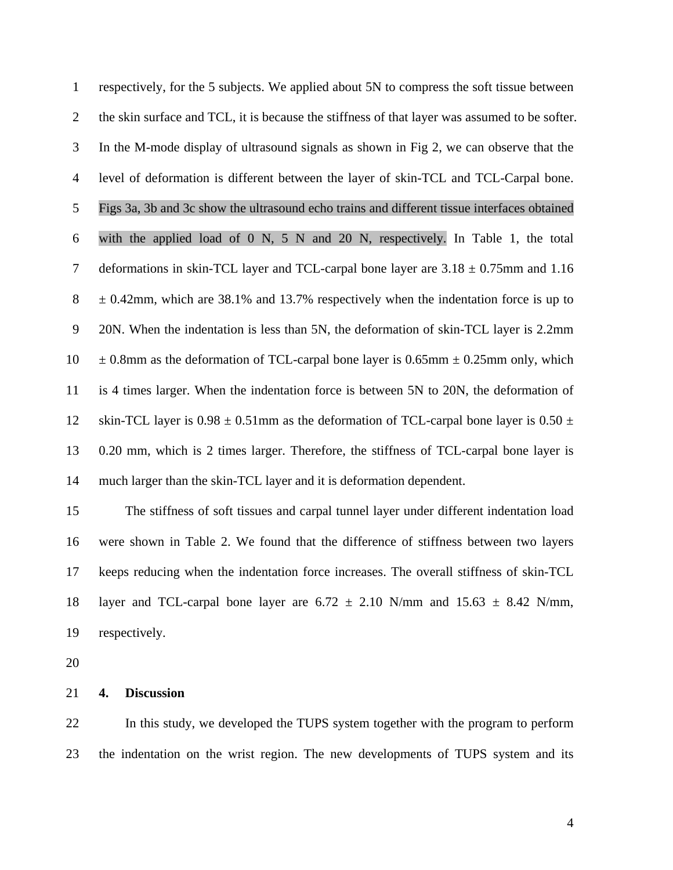1 respectively, for the 5 subjects. We applied about 5N to compress the soft tissue between 2 the skin surface and TCL, it is because the stiffness of that layer was assumed to be softer. 3 In the M-mode display of ultrasound signals as shown in Fig 2, we can observe that the 4 level of deformation is different between the layer of skin-TCL and TCL-Carpal bone. 5 Figs 3a, 3b and 3c show the ultrasound echo trains and different tissue interfaces obtained 6 with the applied load of 0 N, 5 N and 20 N, respectively. In Table 1, the total 7 deformations in skin-TCL layer and TCL-carpal bone layer are  $3.18 \pm 0.75$  mm and 1.16  $8 \pm 0.42$  mm, which are 38.1% and 13.7% respectively when the indentation force is up to 9 20N. When the indentation is less than 5N, the deformation of skin-TCL layer is 2.2mm  $10 \pm 0.8$ mm as the deformation of TCL-carpal bone layer is 0.65mm  $\pm$  0.25mm only, which 11 is 4 times larger. When the indentation force is between 5N to 20N, the deformation of 12 skin-TCL layer is  $0.98 \pm 0.51$  mm as the deformation of TCL-carpal bone layer is  $0.50 \pm 1.5$ 13 0.20 mm, which is 2 times larger. Therefore, the stiffness of TCL-carpal bone layer is 14 much larger than the skin-TCL layer and it is deformation dependent.

15 The stiffness of soft tissues and carpal tunnel layer under different indentation load 16 were shown in Table 2. We found that the difference of stiffness between two layers 17 keeps reducing when the indentation force increases. The overall stiffness of skin-TCL 18 layer and TCL-carpal bone layer are  $6.72 \pm 2.10$  N/mm and  $15.63 \pm 8.42$  N/mm, 19 respectively.

20

### 21 **4. Discussion**

22 In this study, we developed the TUPS system together with the program to perform 23 the indentation on the wrist region. The new developments of TUPS system and its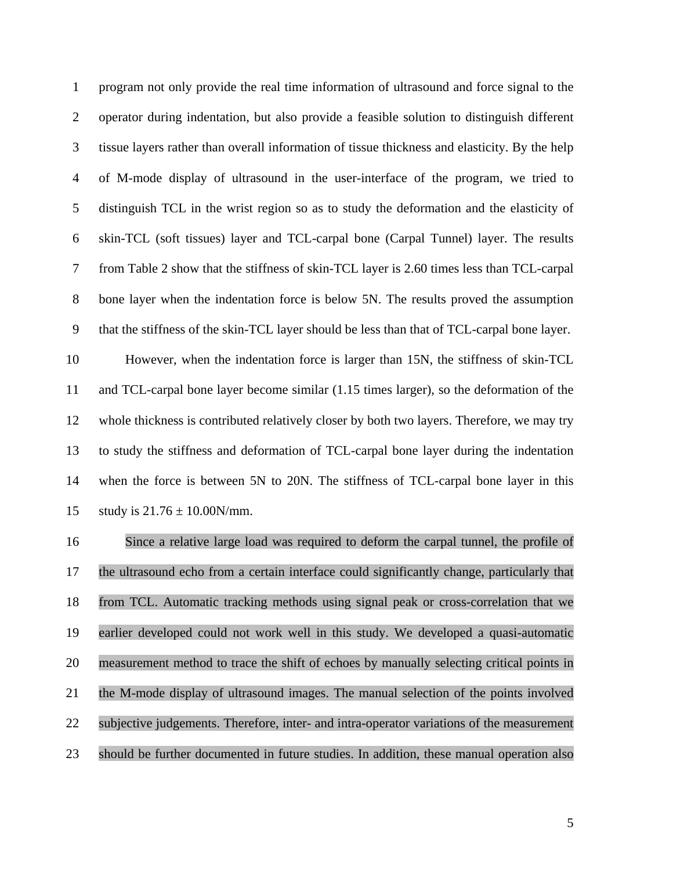1 program not only provide the real time information of ultrasound and force signal to the 2 operator during indentation, but also provide a feasible solution to distinguish different 3 tissue layers rather than overall information of tissue thickness and elasticity. By the help 4 of M-mode display of ultrasound in the user-interface of the program, we tried to 5 distinguish TCL in the wrist region so as to study the deformation and the elasticity of 6 skin-TCL (soft tissues) layer and TCL-carpal bone (Carpal Tunnel) layer. The results 7 from Table 2 show that the stiffness of skin-TCL layer is 2.60 times less than TCL-carpal 8 bone layer when the indentation force is below 5N. The results proved the assumption 9 that the stiffness of the skin-TCL layer should be less than that of TCL-carpal bone layer.

10 However, when the indentation force is larger than 15N, the stiffness of skin-TCL 11 and TCL-carpal bone layer become similar (1.15 times larger), so the deformation of the 12 whole thickness is contributed relatively closer by both two layers. Therefore, we may try 13 to study the stiffness and deformation of TCL-carpal bone layer during the indentation 14 when the force is between 5N to 20N. The stiffness of TCL-carpal bone layer in this 15 study is  $21.76 \pm 10.00$ N/mm.

16 Since a relative large load was required to deform the carpal tunnel, the profile of 17 the ultrasound echo from a certain interface could significantly change, particularly that 18 from TCL. Automatic tracking methods using signal peak or cross-correlation that we 19 earlier developed could not work well in this study. We developed a quasi-automatic 20 measurement method to trace the shift of echoes by manually selecting critical points in 21 the M-mode display of ultrasound images. The manual selection of the points involved 22 subjective judgements. Therefore, inter- and intra-operator variations of the measurement 23 should be further documented in future studies. In addition, these manual operation also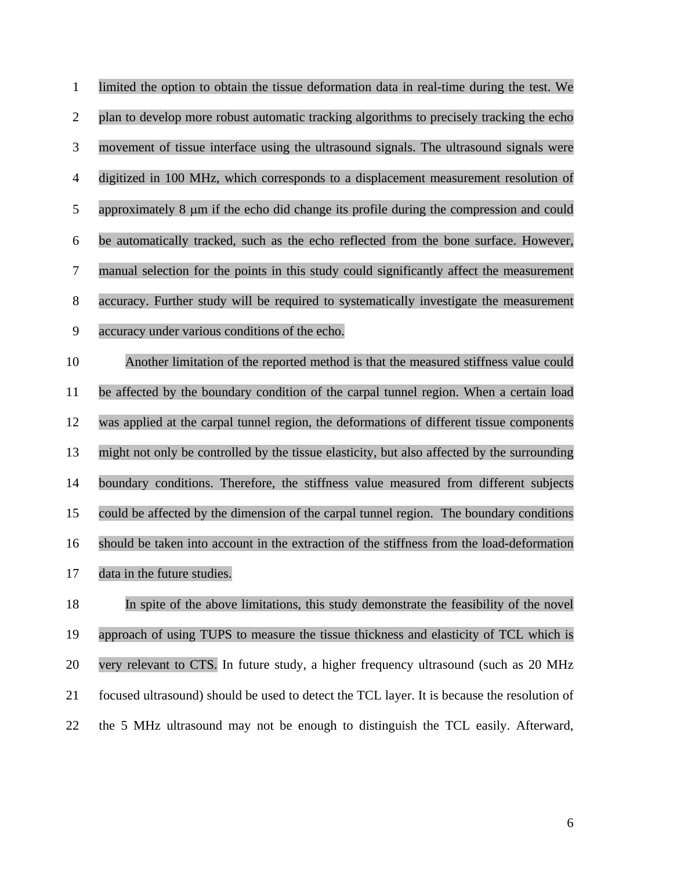| $\mathbf{1}$   | limited the option to obtain the tissue deformation data in real-time during the test. We   |
|----------------|---------------------------------------------------------------------------------------------|
| $\overline{2}$ | plan to develop more robust automatic tracking algorithms to precisely tracking the echo    |
| 3              | movement of tissue interface using the ultrasound signals. The ultrasound signals were      |
| $\overline{4}$ | digitized in 100 MHz, which corresponds to a displacement measurement resolution of         |
| 5              | approximately 8 µm if the echo did change its profile during the compression and could      |
| 6              | be automatically tracked, such as the echo reflected from the bone surface. However,        |
| $\tau$         | manual selection for the points in this study could significantly affect the measurement    |
| $8\,$          | accuracy. Further study will be required to systematically investigate the measurement      |
| 9              | accuracy under various conditions of the echo.                                              |
| 10             | Another limitation of the reported method is that the measured stiffness value could        |
| 11             | be affected by the boundary condition of the carpal tunnel region. When a certain load      |
| 12             | was applied at the carpal tunnel region, the deformations of different tissue components    |
| 13             | might not only be controlled by the tissue elasticity, but also affected by the surrounding |
| 14             | boundary conditions. Therefore, the stiffness value measured from different subjects        |
| 15             | could be affected by the dimension of the carpal tunnel region. The boundary conditions     |
| 16             | should be taken into account in the extraction of the stiffness from the load-deformation   |
| 17             | data in the future studies.                                                                 |
| 18             | In spite of the above limitations, this study demonstrate the feasibility of the novel      |
| 19             | approach of using TUPS to measure the tissue thickness and elasticity of TCL which is       |
| 20             | very relevant to CTS. In future study, a higher frequency ultrasound (such as 20 MHz        |
| 21             | focused ultrasound) should be used to detect the TCL layer. It is because the resolution of |

22 the 5 MHz ultrasound may not be enough to distinguish the TCL easily. Afterward,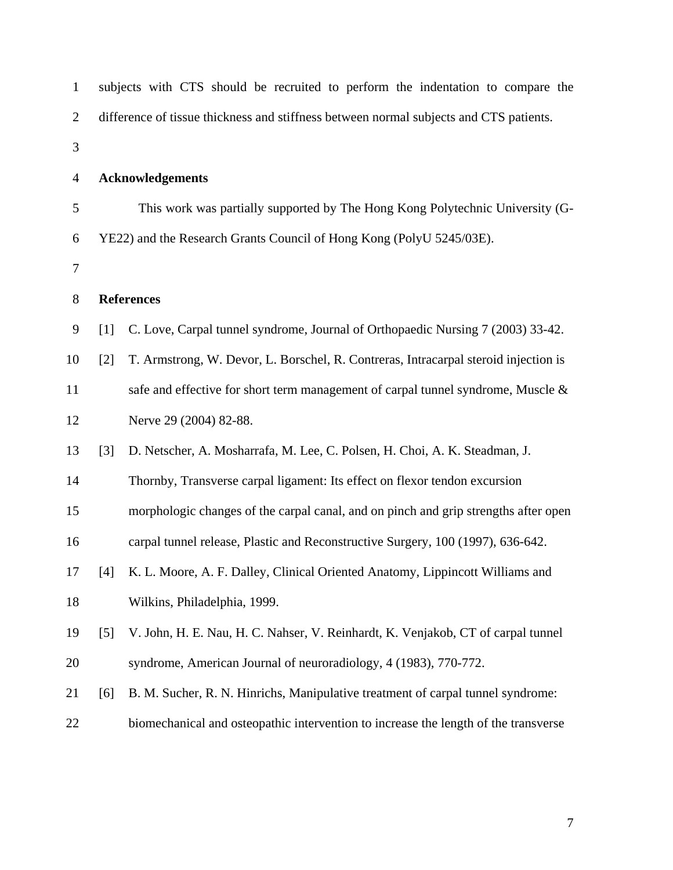| $\mathbf{1}$   | subjects with CTS should be recruited to perform the indentation to compare the |                                                                                        |  |  |
|----------------|---------------------------------------------------------------------------------|----------------------------------------------------------------------------------------|--|--|
| $\mathfrak{2}$ |                                                                                 | difference of tissue thickness and stiffness between normal subjects and CTS patients. |  |  |
| 3              |                                                                                 |                                                                                        |  |  |
| $\overline{4}$ | <b>Acknowledgements</b>                                                         |                                                                                        |  |  |
| 5              |                                                                                 | This work was partially supported by The Hong Kong Polytechnic University (G-          |  |  |
| 6              | YE22) and the Research Grants Council of Hong Kong (PolyU 5245/03E).            |                                                                                        |  |  |
| 7              |                                                                                 |                                                                                        |  |  |
| $8\,$          | <b>References</b>                                                               |                                                                                        |  |  |
| 9              | $[1]$                                                                           | C. Love, Carpal tunnel syndrome, Journal of Orthopaedic Nursing 7 (2003) 33-42.        |  |  |
| 10             | $[2]$                                                                           | T. Armstrong, W. Devor, L. Borschel, R. Contreras, Intracarpal steroid injection is    |  |  |
| 11             |                                                                                 | safe and effective for short term management of carpal tunnel syndrome, Muscle &       |  |  |
| 12             |                                                                                 | Nerve 29 (2004) 82-88.                                                                 |  |  |
| 13             | [3]                                                                             | D. Netscher, A. Mosharrafa, M. Lee, C. Polsen, H. Choi, A. K. Steadman, J.             |  |  |
| 14             |                                                                                 | Thornby, Transverse carpal ligament: Its effect on flexor tendon excursion             |  |  |
| 15             |                                                                                 | morphologic changes of the carpal canal, and on pinch and grip strengths after open    |  |  |
| 16             |                                                                                 | carpal tunnel release, Plastic and Reconstructive Surgery, 100 (1997), 636-642.        |  |  |
| 17             |                                                                                 | [4] K. L. Moore, A. F. Dalley, Clinical Oriented Anatomy, Lippincott Williams and      |  |  |
| 18             |                                                                                 | Wilkins, Philadelphia, 1999.                                                           |  |  |
| 19             | $\lceil 5 \rceil$                                                               | V. John, H. E. Nau, H. C. Nahser, V. Reinhardt, K. Venjakob, CT of carpal tunnel       |  |  |
| 20             |                                                                                 | syndrome, American Journal of neuroradiology, 4 (1983), 770-772.                       |  |  |
| 21             | [6]                                                                             | B. M. Sucher, R. N. Hinrichs, Manipulative treatment of carpal tunnel syndrome:        |  |  |
| 22             |                                                                                 | biomechanical and osteopathic intervention to increase the length of the transverse    |  |  |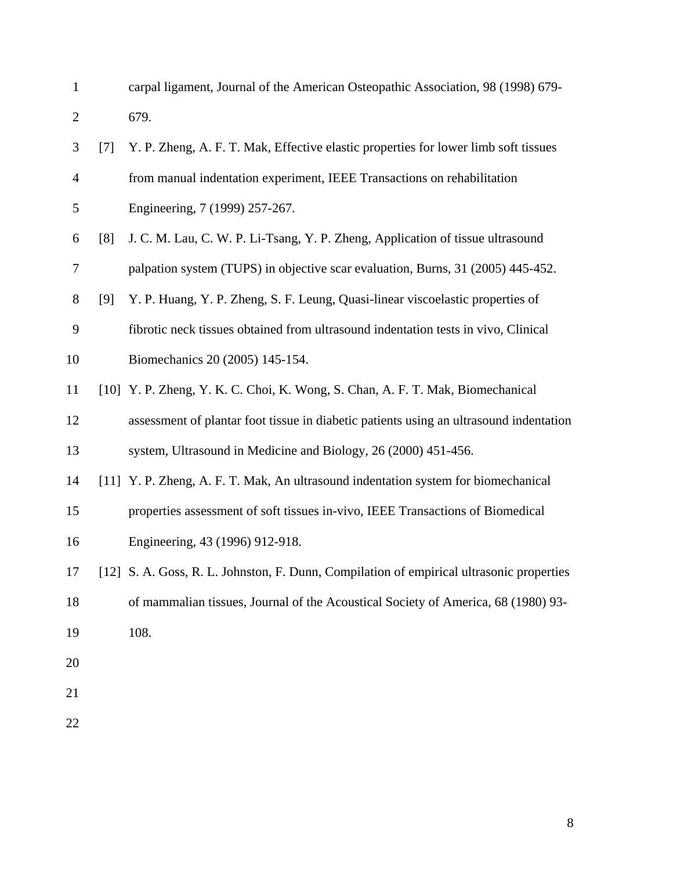1 carpal ligament, Journal of the American Osteopathic Association, 98 (1998) 679- 2 679.

| 3              | [7] | Y. P. Zheng, A. F. T. Mak, Effective elastic properties for lower limb soft tissues      |
|----------------|-----|------------------------------------------------------------------------------------------|
| $\overline{4}$ |     | from manual indentation experiment, IEEE Transactions on rehabilitation                  |
| 5              |     | Engineering, 7 (1999) 257-267.                                                           |
| 6              | [8] | J. C. M. Lau, C. W. P. Li-Tsang, Y. P. Zheng, Application of tissue ultrasound           |
| 7              |     | palpation system (TUPS) in objective scar evaluation, Burns, 31 (2005) 445-452.          |
| 8              | [9] | Y. P. Huang, Y. P. Zheng, S. F. Leung, Quasi-linear viscoelastic properties of           |
| 9              |     | fibrotic neck tissues obtained from ultrasound indentation tests in vivo, Clinical       |
| 10             |     | Biomechanics 20 (2005) 145-154.                                                          |
| 11             |     | [10] Y. P. Zheng, Y. K. C. Choi, K. Wong, S. Chan, A. F. T. Mak, Biomechanical           |
| 12             |     | assessment of plantar foot tissue in diabetic patients using an ultrasound indentation   |
| 13             |     | system, Ultrasound in Medicine and Biology, 26 (2000) 451-456.                           |
| 14             |     | [11] Y. P. Zheng, A. F. T. Mak, An ultrasound indentation system for biomechanical       |
| 15             |     | properties assessment of soft tissues in-vivo, IEEE Transactions of Biomedical           |
| 16             |     | Engineering, 43 (1996) 912-918.                                                          |
| 17             |     | [12] S. A. Goss, R. L. Johnston, F. Dunn, Compilation of empirical ultrasonic properties |
| 18             |     | of mammalian tissues, Journal of the Acoustical Society of America, 68 (1980) 93-        |
| 19             |     | 108.                                                                                     |
| 20             |     |                                                                                          |
| 21             |     |                                                                                          |
|                |     |                                                                                          |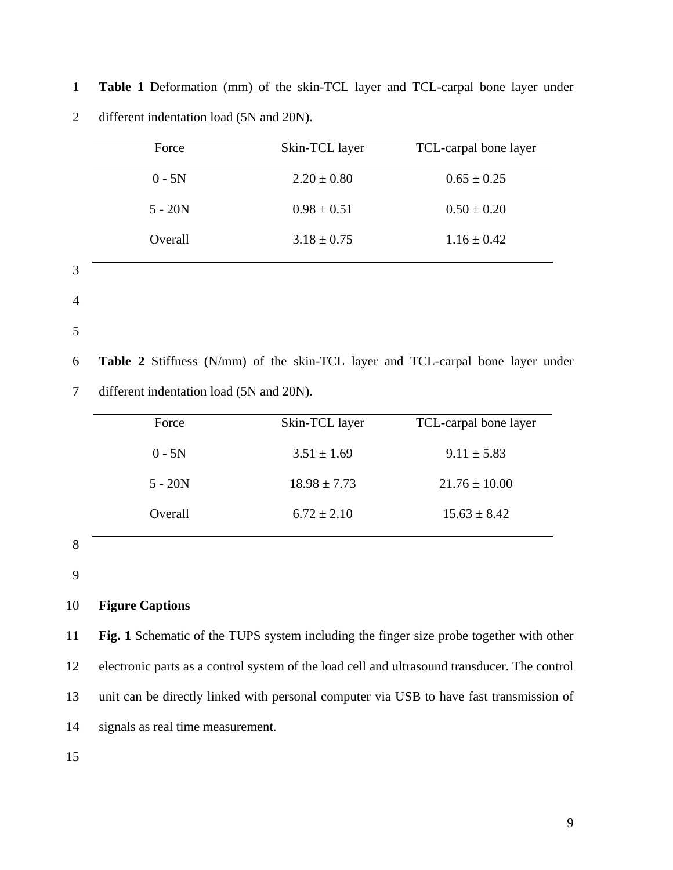| Force     | Skin-TCL layer  | TCL-carpal bone layer |
|-----------|-----------------|-----------------------|
| $0 - 5N$  | $2.20 \pm 0.80$ | $0.65 \pm 0.25$       |
| $5 - 20N$ | $0.98 \pm 0.51$ | $0.50 \pm 0.20$       |
| Overall   | $3.18 \pm 0.75$ | $1.16 \pm 0.42$       |

1 **Table 1** Deformation (mm) of the skin-TCL layer and TCL-carpal bone layer under 2 different indentation load (5N and 20N).

4

5

6 **Table 2** Stiffness (N/mm) of the skin-TCL layer and TCL-carpal bone layer under

7 different indentation load (5N and 20N).

|   | Force     | Skin-TCL layer   | TCL-carpal bone layer |
|---|-----------|------------------|-----------------------|
|   | $0 - 5N$  | $3.51 \pm 1.69$  | $9.11 \pm 5.83$       |
|   | $5 - 20N$ | $18.98 \pm 7.73$ | $21.76 \pm 10.00$     |
|   | Overall   | $6.72 \pm 2.10$  | $15.63 \pm 8.42$      |
| 8 |           |                  |                       |

9

# 10 **Figure Captions**

11 **Fig. 1** Schematic of the TUPS system including the finger size probe together with other 12 electronic parts as a control system of the load cell and ultrasound transducer. The control 13 unit can be directly linked with personal computer via USB to have fast transmission of 14 signals as real time measurement.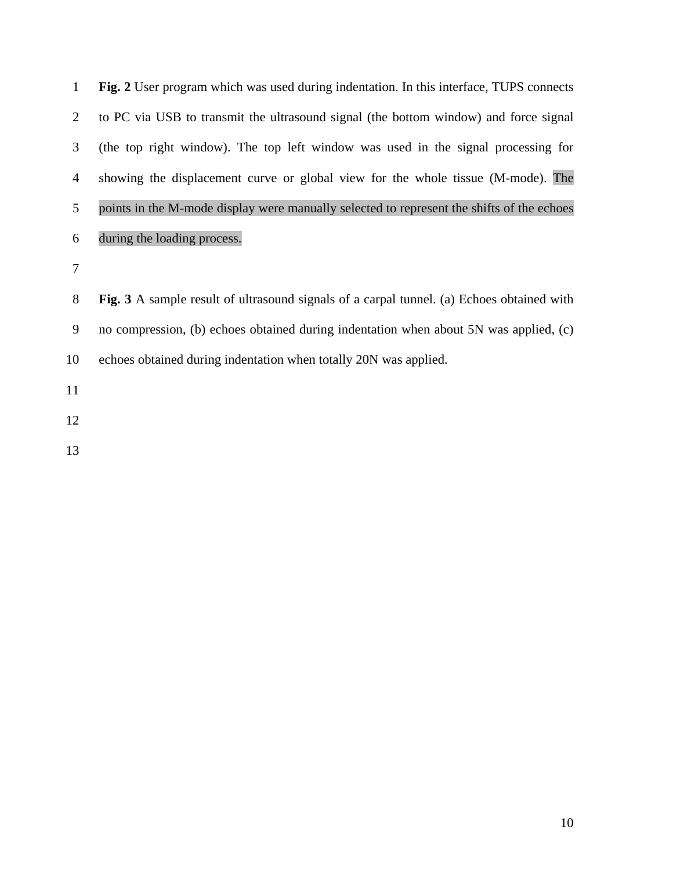| $\mathbf{1}$   | Fig. 2 User program which was used during indentation. In this interface, TUPS connects   |
|----------------|-------------------------------------------------------------------------------------------|
| $\overline{2}$ | to PC via USB to transmit the ultrasound signal (the bottom window) and force signal      |
| 3              | (the top right window). The top left window was used in the signal processing for         |
| $\overline{4}$ | showing the displacement curve or global view for the whole tissue (M-mode). The          |
| 5              | points in the M-mode display were manually selected to represent the shifts of the echoes |
| 6              | during the loading process.                                                               |
| $\tau$         |                                                                                           |
| 8              | Fig. 3 A sample result of ultrasound signals of a carpal tunnel. (a) Echoes obtained with |
| 9              | no compression, (b) echoes obtained during indentation when about 5N was applied, (c)     |
| 10             | echoes obtained during indentation when totally 20N was applied.                          |
| 11             |                                                                                           |
| 12             |                                                                                           |
| 13             |                                                                                           |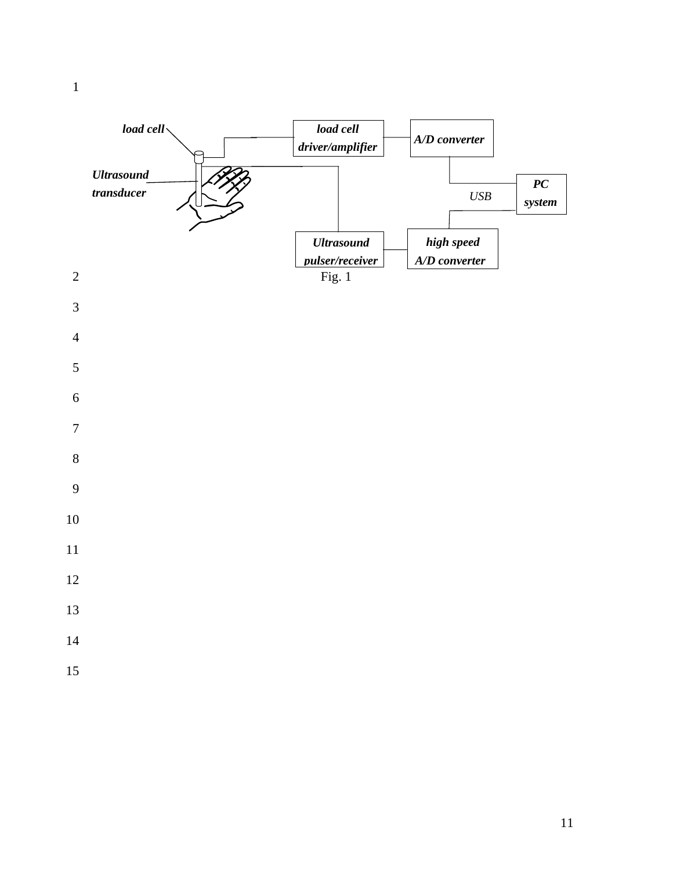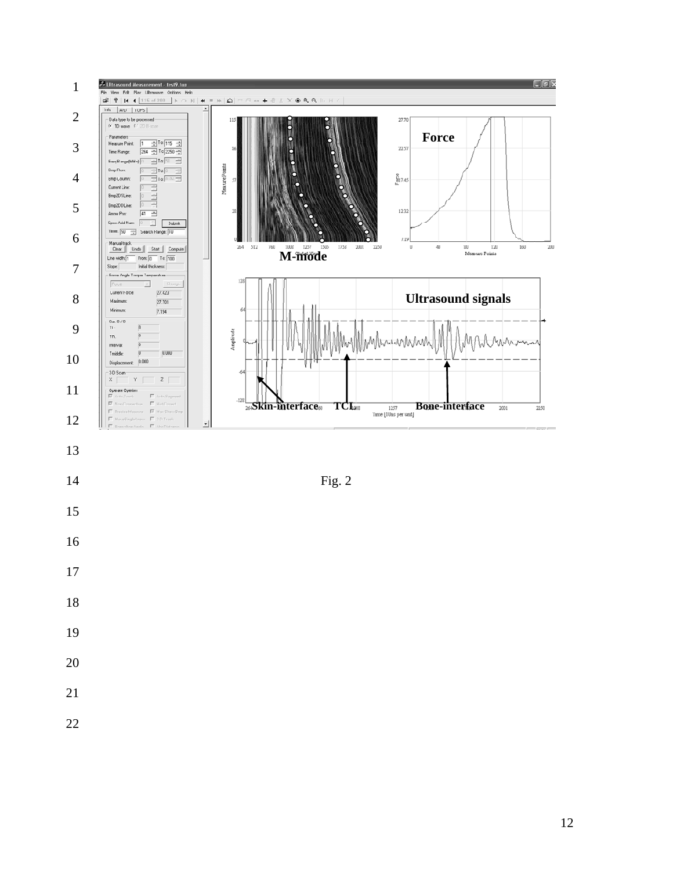